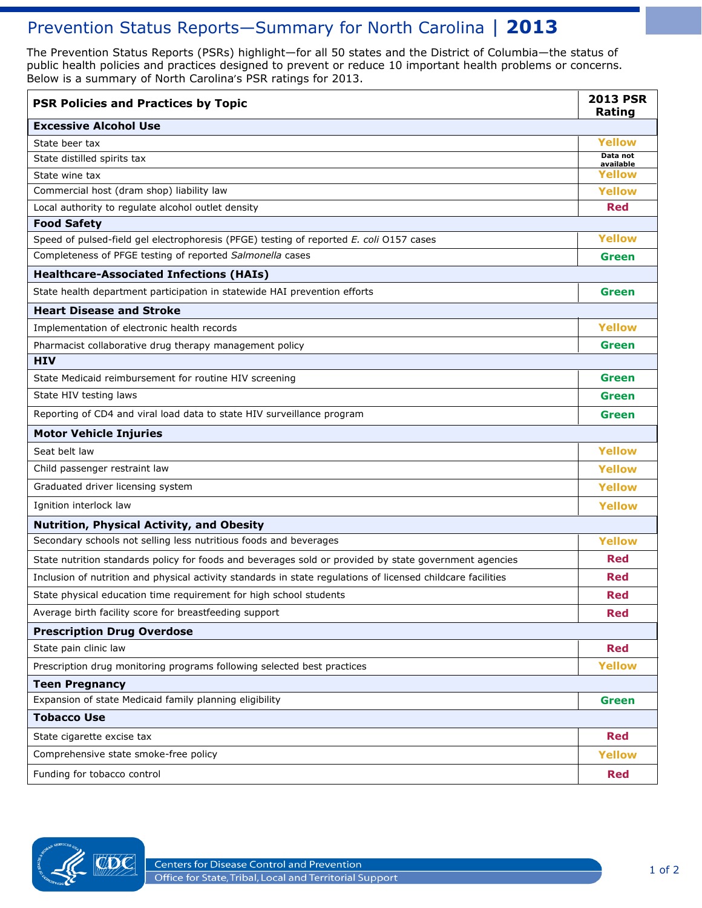# Prevention Status Reports-Summary for North Carolina | 2013

 The Prevention Status Reports (PSRs) highlight—for all 50 states and the District of Columbia—the status of public health policies and practices designed to prevent or reduce 10 important health problems or concerns. Below is a summary of North Carolina's PSR ratings for 2013.

| <b>PSR Policies and Practices by Topic</b>                                                                   | <b>2013 PSR</b><br>Rating |  |
|--------------------------------------------------------------------------------------------------------------|---------------------------|--|
| <b>Excessive Alcohol Use</b>                                                                                 |                           |  |
| State beer tax                                                                                               | <b>Yellow</b>             |  |
| State distilled spirits tax                                                                                  | Data not<br>available     |  |
| State wine tax                                                                                               | Yellow                    |  |
| Commercial host (dram shop) liability law                                                                    | <b>Yellow</b>             |  |
| Local authority to regulate alcohol outlet density                                                           | Red                       |  |
| <b>Food Safety</b>                                                                                           |                           |  |
| Speed of pulsed-field gel electrophoresis (PFGE) testing of reported E. coli 0157 cases                      | <b>Yellow</b>             |  |
| Completeness of PFGE testing of reported Salmonella cases                                                    | <b>Green</b>              |  |
| <b>Healthcare-Associated Infections (HAIs)</b>                                                               |                           |  |
| State health department participation in statewide HAI prevention efforts                                    | <b>Green</b>              |  |
| <b>Heart Disease and Stroke</b>                                                                              |                           |  |
| Implementation of electronic health records                                                                  | <b>Yellow</b>             |  |
| Pharmacist collaborative drug therapy management policy                                                      | <b>Green</b>              |  |
| <b>HIV</b>                                                                                                   |                           |  |
| State Medicaid reimbursement for routine HIV screening                                                       | <b>Green</b>              |  |
| State HIV testing laws                                                                                       | <b>Green</b>              |  |
| Reporting of CD4 and viral load data to state HIV surveillance program                                       | <b>Green</b>              |  |
| <b>Motor Vehicle Injuries</b>                                                                                |                           |  |
| Seat belt law                                                                                                | <b>Yellow</b>             |  |
| Child passenger restraint law                                                                                | <b>Yellow</b>             |  |
| Graduated driver licensing system                                                                            | <b>Yellow</b>             |  |
| Ignition interlock law                                                                                       | <b>Yellow</b>             |  |
| <b>Nutrition, Physical Activity, and Obesity</b>                                                             |                           |  |
| Secondary schools not selling less nutritious foods and beverages                                            | <b>Yellow</b>             |  |
| State nutrition standards policy for foods and beverages sold or provided by state government agencies       | Red                       |  |
| Inclusion of nutrition and physical activity standards in state regulations of licensed childcare facilities | <b>Red</b>                |  |
| State physical education time requirement for high school students                                           | Red                       |  |
| Average birth facility score for breastfeeding support                                                       | <b>Red</b>                |  |
| <b>Prescription Drug Overdose</b>                                                                            |                           |  |
| State pain clinic law                                                                                        | <b>Red</b>                |  |
| Prescription drug monitoring programs following selected best practices                                      | <b>Yellow</b>             |  |
| <b>Teen Pregnancy</b>                                                                                        |                           |  |
| Expansion of state Medicaid family planning eligibility                                                      | <b>Green</b>              |  |
| <b>Tobacco Use</b>                                                                                           |                           |  |
| State cigarette excise tax                                                                                   | <b>Red</b>                |  |
| Comprehensive state smoke-free policy                                                                        | <b>Yellow</b>             |  |
| Funding for tobacco control                                                                                  | <b>Red</b>                |  |